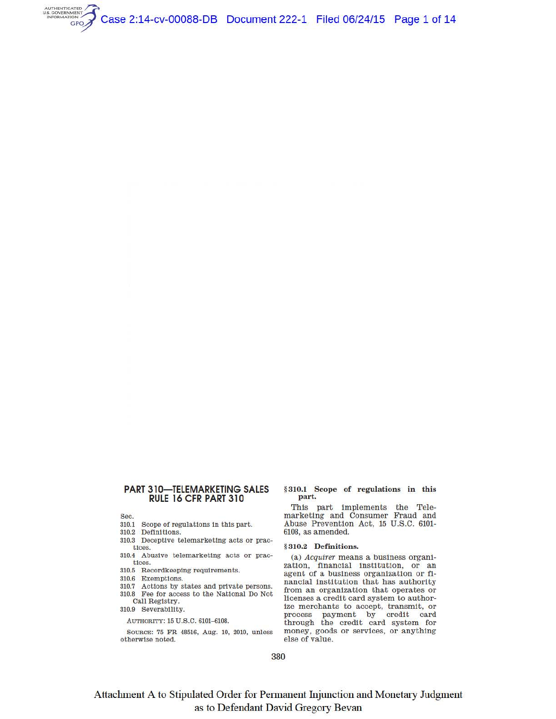

# **PART 310-TELEMARKETING SALES RULE 16 CFR PART 310**

Sec.

- 310.1 Scope of regulations in this part.
- 310.2 Definitions.
- 310.3 Deceptive telemarketing acts or practices.
- 310.4 Abusive telemarketing acts or practices.
- 310.5 Recordkeeping requirements.
- 310.6 Exemptions.
- 310.7 Actions by states and private persons.
- 310.8 Fee for access to the National Do Not
- Call Registry.
- 310.9 Severab111ty.

AUTHORITY: 15 U.S.C. 6101-6108.

SOURCE: 75 FR 48516, Aug. 10, 2010, unless otherwise noted.

# §310.1 Scope of regulations in this part.

This part implements the Telemarketing and Consumer Fraud and Abuse Prevention Act, 15 U.S.C. 6101- 6108, as amended.

### § 310.2 Definitions.

(a) Acquirer means a business organization, financial institution, or an agent of a business organization or financial institution that has authority from an organization that operates or licenses a credit card system to author- ize merchants to accept, transmit, or process payment by credit card through the credit card system for money, goods or services, or anything else of value.

380

Attachment A to Stipulated Order for Permanent Injunction and Monetary Judgment as to Defendant David Gregory Bevan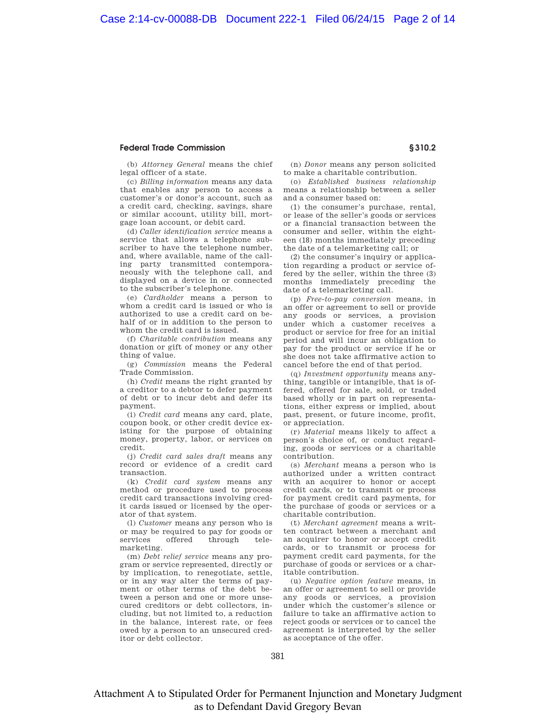(b) *Attorney General* means the chief legal officer of a state.

(c) *Billing information* means any data that enables any person to access a customer's or donor's account, such as a credit card, checking, savings, share or similar account, utility bill, mortgage loan account, or debit card.

(d) *Caller identification service* means a service that allows a telephone subscriber to have the telephone number, and, where available, name of the calling party transmitted contemporaneously with the telephone call, and displayed on a device in or connected to the subscriber's telephone.

(e) *Cardholder* means a person to whom a credit card is issued or who is authorized to use a credit card on behalf of or in addition to the person to whom the credit card is issued.

(f) *Charitable contribution* means any donation or gift of money or any other thing of value.

(g) *Commission* means the Federal Trade Commission.

(h) *Credit* means the right granted by a creditor to a debtor to defer payment of debt or to incur debt and defer its payment.

(i) *Credit card* means any card, plate, coupon book, or other credit device existing for the purpose of obtaining money, property, labor, or services on credit.

(j) *Credit card sales draft* means any record or evidence of a credit card transaction.

(k) *Credit card system* means any method or procedure used to process credit card transactions involving credit cards issued or licensed by the operator of that system.

(l) *Customer* means any person who is or may be required to pay for goods or<br>services offered through teleoffered marketing.

(m) *Debt relief service* means any program or service represented, directly or by implication, to renegotiate, settle, or in any way alter the terms of payment or other terms of the debt between a person and one or more unsecured creditors or debt collectors, including, but not limited to, a reduction in the balance, interest rate, or fees owed by a person to an unsecured creditor or debt collector.

(n) *Donor* means any person solicited to make a charitable contribution.

(o) *Established business relationship*  means a relationship between a seller and a consumer based on:

(1) the consumer's purchase, rental, or lease of the seller's goods or services or a financial transaction between the consumer and seller, within the eighteen (18) months immediately preceding the date of a telemarketing call; or

(2) the consumer's inquiry or application regarding a product or service offered by the seller, within the three (3) months immediately preceding the date of a telemarketing call.

(p) *Free-to-pay conversion* means, in an offer or agreement to sell or provide any goods or services, a provision under which a customer receives a product or service for free for an initial period and will incur an obligation to pay for the product or service if he or she does not take affirmative action to cancel before the end of that period.

(q) *Investment opportunity* means anything, tangible or intangible, that is offered, offered for sale, sold, or traded based wholly or in part on representations, either express or implied, about past, present, or future income, profit, or appreciation.

(r) *Material* means likely to affect a person's choice of, or conduct regarding, goods or services or a charitable contribution.

(s) *Merchant* means a person who is authorized under a written contract with an acquirer to honor or accept credit cards, or to transmit or process for payment credit card payments, for the purchase of goods or services or a charitable contribution.

(t) *Merchant agreement* means a written contract between a merchant and an acquirer to honor or accept credit cards, or to transmit or process for payment credit card payments, for the purchase of goods or services or a charitable contribution.

(u) *Negative option feature* means, in an offer or agreement to sell or provide any goods or services, a provision under which the customer's silence or failure to take an affirmative action to reject goods or services or to cancel the agreement is interpreted by the seller as acceptance of the offer.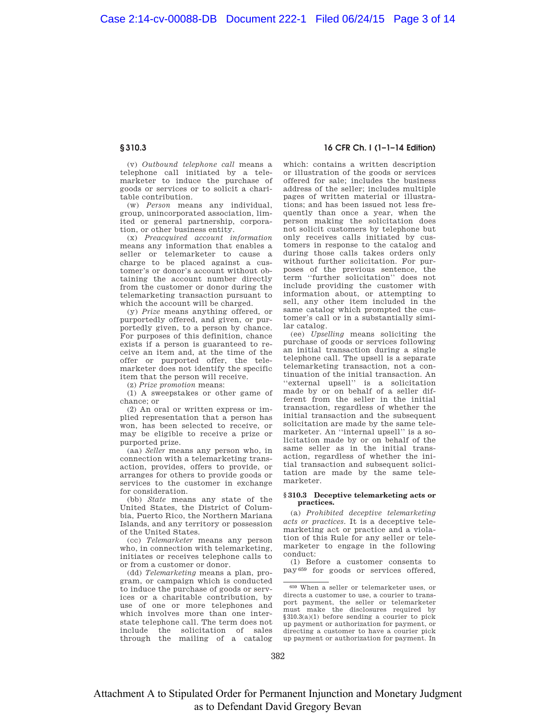(v) *Outbound telephone call* means a telephone call initiated by a telemarketer to induce the purchase of goods or services or to solicit a charitable contribution.

(w) *Person* means any individual, group, unincorporated association, limited or general partnership, corporation, or other business entity.

(x) *Preacquired account information*  means any information that enables a seller or telemarketer to cause a charge to be placed against a customer's or donor's account without obtaining the account number directly from the customer or donor during the telemarketing transaction pursuant to which the account will be charged.

(y) *Prize* means anything offered, or purportedly offered, and given, or purportedly given, to a person by chance. For purposes of this definition, chance exists if a person is guaranteed to receive an item and, at the time of the offer or purported offer, the telemarketer does not identify the specific item that the person will receive.

(z) *Prize promotion* means:

(1) A sweepstakes or other game of chance; or

(2) An oral or written express or implied representation that a person has won, has been selected to receive, or may be eligible to receive a prize or purported prize.

(aa) *Seller* means any person who, in connection with a telemarketing transaction, provides, offers to provide, or arranges for others to provide goods or services to the customer in exchange for consideration.

(bb) *State* means any state of the United States, the District of Columbia, Puerto Rico, the Northern Mariana Islands, and any territory or possession of the United States.

(cc) *Telemarketer* means any person who, in connection with telemarketing, initiates or receives telephone calls to or from a customer or donor.

(dd) *Telemarketing* means a plan, program, or campaign which is conducted to induce the purchase of goods or services or a charitable contribution, by use of one or more telephones and which involves more than one interstate telephone call. The term does not include the solicitation of sales through the mailing of a catalog

# **§ 310.3 16 CFR Ch. I (1–1–14 Edition)**

which: contains a written description or illustration of the goods or services offered for sale; includes the business address of the seller; includes multiple pages of written material or illustrations; and has been issued not less frequently than once a year, when the person making the solicitation does not solicit customers by telephone but only receives calls initiated by customers in response to the catalog and during those calls takes orders only without further solicitation. For purposes of the previous sentence, the term ''further solicitation'' does not include providing the customer with information about, or attempting to sell, any other item included in the same catalog which prompted the customer's call or in a substantially similar catalog.

(ee) *Upselling* means soliciting the purchase of goods or services following an initial transaction during a single telephone call. The upsell is a separate telemarketing transaction, not a continuation of the initial transaction. An ''external upsell'' is a solicitation made by or on behalf of a seller different from the seller in the initial transaction, regardless of whether the initial transaction and the subsequent solicitation are made by the same telemarketer. An ''internal upsell'' is a solicitation made by or on behalf of the same seller as in the initial transaction, regardless of whether the initial transaction and subsequent solicitation are made by the same telemarketer.

### **§ 310.3 Deceptive telemarketing acts or practices.**

(a) *Prohibited deceptive telemarketing acts or practices.* It is a deceptive telemarketing act or practice and a violation of this Rule for any seller or telemarketer to engage in the following conduct:

(1) Before a customer consents to pay659 for goods or services offered,

<sup>659</sup> When a seller or telemarketer uses, or directs a customer to use, a courier to transport payment, the seller or telemarketer must make the disclosures required by §310.3(a)(1) before sending a courier to pick up payment or authorization for payment, or directing a customer to have a courier pick up payment or authorization for payment. In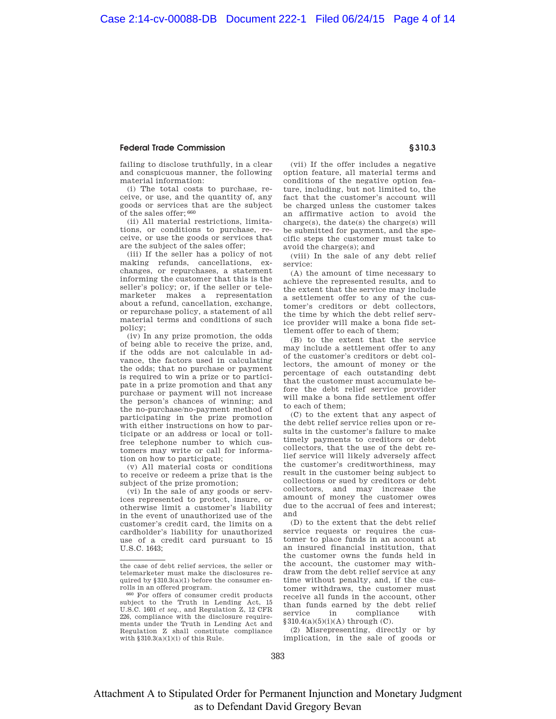failing to disclose truthfully, in a clear and conspicuous manner, the following material information:

(i) The total costs to purchase, receive, or use, and the quantity of, any goods or services that are the subject of the sales offer; 660

(ii) All material restrictions, limitations, or conditions to purchase, receive, or use the goods or services that are the subject of the sales offer;

(iii) If the seller has a policy of not making refunds cancellations exchanges, or repurchases, a statement informing the customer that this is the seller's policy; or, if the seller or telemarketer makes a representation about a refund, cancellation, exchange, or repurchase policy, a statement of all material terms and conditions of such policy;

(iv) In any prize promotion, the odds of being able to receive the prize, and, if the odds are not calculable in advance, the factors used in calculating the odds; that no purchase or payment is required to win a prize or to participate in a prize promotion and that any purchase or payment will not increase the person's chances of winning; and the no-purchase/no-payment method of participating in the prize promotion with either instructions on how to participate or an address or local or tollfree telephone number to which customers may write or call for information on how to participate;

(v) All material costs or conditions to receive or redeem a prize that is the subject of the prize promotion;

(vi) In the sale of any goods or services represented to protect, insure, or otherwise limit a customer's liability in the event of unauthorized use of the customer's credit card, the limits on a cardholder's liability for unauthorized use of a credit card pursuant to 15 U.S.C. 1643;

(vii) If the offer includes a negative option feature, all material terms and conditions of the negative option feature, including, but not limited to, the fact that the customer's account will be charged unless the customer takes an affirmative action to avoid the  $charge(s)$ , the date(s) the charge(s) will be submitted for payment, and the specific steps the customer must take to avoid the charge(s); and

(viii) In the sale of any debt relief service:

(A) the amount of time necessary to achieve the represented results, and to the extent that the service may include a settlement offer to any of the customer's creditors or debt collectors, the time by which the debt relief service provider will make a bona fide settlement offer to each of them;

(B) to the extent that the service may include a settlement offer to any of the customer's creditors or debt collectors, the amount of money or the percentage of each outstanding debt that the customer must accumulate before the debt relief service provider will make a bona fide settlement offer to each of them;

(C) to the extent that any aspect of the debt relief service relies upon or results in the customer's failure to make timely payments to creditors or debt collectors, that the use of the debt relief service will likely adversely affect the customer's creditworthiness, may result in the customer being subject to collections or sued by creditors or debt collectors, and may increase the amount of money the customer owes due to the accrual of fees and interest; and

(D) to the extent that the debt relief service requests or requires the customer to place funds in an account at an insured financial institution, that the customer owns the funds held in the account, the customer may withdraw from the debt relief service at any time without penalty, and, if the customer withdraws, the customer must receive all funds in the account, other than funds earned by the debt relief<br>service in compliance with compliance with  $$310.4(a)(5)(i)(A)$  through  $(C)$ .

(2) Misrepresenting, directly or by implication, in the sale of goods or

the case of debt relief services, the seller or telemarketer must make the disclosures required by  $§310.3(a)(1)$  before the consumer enrolls in an offered program.<br><sup>660</sup> For offers of consumer credit products

subject to the Truth in Lending Act, 15 U.S.C. 1601 *et seq.,* and Regulation Z, 12 CFR 226, compliance with the disclosure requirements under the Truth in Lending Act and Regulation Z shall constitute compliance with  $§310.3(a)(1)(i)$  of this Rule.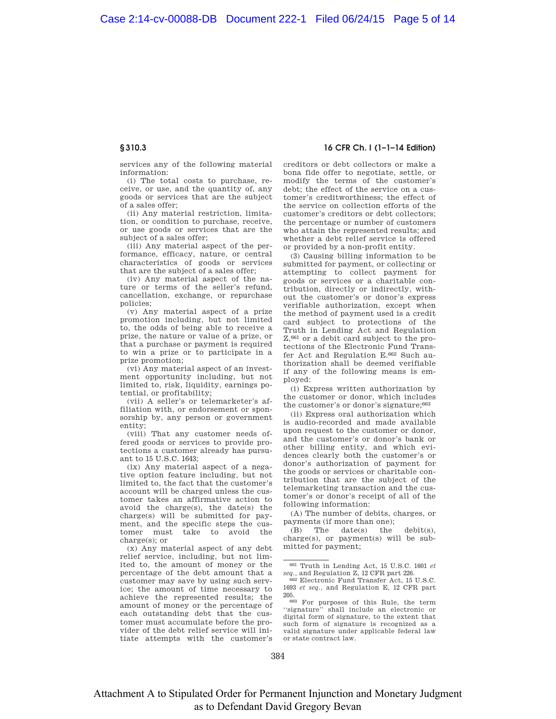services any of the following material information:

(i) The total costs to purchase, receive, or use, and the quantity of, any goods or services that are the subject of a sales offer;

(ii) Any material restriction, limitation, or condition to purchase, receive, or use goods or services that are the subject of a sales offer;

(iii) Any material aspect of the performance, efficacy, nature, or central characteristics of goods or services that are the subject of a sales offer;

(iv) Any material aspect of the nature or terms of the seller's refund, cancellation, exchange, or repurchase policies;

(v) Any material aspect of a prize promotion including, but not limited to, the odds of being able to receive a prize, the nature or value of a prize, or that a purchase or payment is required to win a prize or to participate in a prize promotion;

(vi) Any material aspect of an investment opportunity including, but not limited to, risk, liquidity, earnings potential, or profitability;

(vii) A seller's or telemarketer's affiliation with, or endorsement or sponsorship by, any person or government entity;

(viii) That any customer needs offered goods or services to provide protections a customer already has pursuant to 15 U.S.C. 1643;

(ix) Any material aspect of a negative option feature including, but not limited to, the fact that the customer's account will be charged unless the customer takes an affirmative action to avoid the charge(s), the date(s) the charge(s) will be submitted for payment, and the specific steps the customer must take to avoid the charge(s); or

(x) Any material aspect of any debt relief service, including, but not limited to, the amount of money or the percentage of the debt amount that a customer may save by using such service; the amount of time necessary to achieve the represented results; the amount of money or the percentage of each outstanding debt that the customer must accumulate before the provider of the debt relief service will initiate attempts with the customer's

# **§ 310.3 16 CFR Ch. I (1–1–14 Edition)**

creditors or debt collectors or make a bona fide offer to negotiate, settle, or modify the terms of the customer's debt; the effect of the service on a customer's creditworthiness; the effect of the service on collection efforts of the customer's creditors or debt collectors; the percentage or number of customers who attain the represented results; and whether a debt relief service is offered or provided by a non-profit entity.

(3) Causing billing information to be submitted for payment, or collecting or attempting to collect payment for goods or services or a charitable contribution, directly or indirectly, without the customer's or donor's express verifiable authorization, except when the method of payment used is a credit card subject to protections of the Truth in Lending Act and Regulation Z,661 or a debit card subject to the protections of the Electronic Fund Transfer Act and Regulation E.662 Such authorization shall be deemed verifiable if any of the following means is employed:

(i) Express written authorization by the customer or donor, which includes the customer's or donor's signature;663

(ii) Express oral authorization which is audio-recorded and made available upon request to the customer or donor, and the customer's or donor's bank or other billing entity, and which evidences clearly both the customer's or donor's authorization of payment for the goods or services or charitable contribution that are the subject of the telemarketing transaction and the customer's or donor's receipt of all of the following information:

(A) The number of debits, charges, or payments (if more than one);

(B) The date(s) the debit(s), charge(s), or payment(s) will be submitted for payment;

 $661$  Truth in Lending Act, 15 U.S.C. 1601 *et*  $seq.$ , and Regulation Z, 12 CFR part 226.

 $662$  Electronic Fund Transfer Act, 15 U.S.C. 1693 *et seq.,* and Regulation E, 12 CFR part 205. 663 For purposes of this Rule, the term

<sup>&#</sup>x27;'signature'' shall include an electronic or digital form of signature, to the extent that such form of signature is recognized as a valid signature under applicable federal law or state contract law.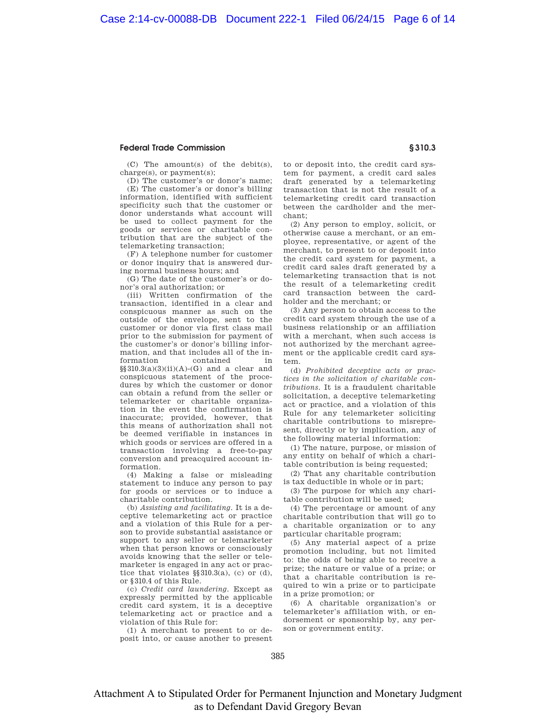(C) The amount(s) of the debit(s), charge(s), or payment(s);

(D) The customer's or donor's name;

(E) The customer's or donor's billing information, identified with sufficient specificity such that the customer or donor understands what account will be used to collect payment for the goods or services or charitable contribution that are the subject of the telemarketing transaction;

(F) A telephone number for customer or donor inquiry that is answered during normal business hours; and

(G) The date of the customer's or donor's oral authorization; or

(iii) Written confirmation of the transaction, identified in a clear and conspicuous manner as such on the outside of the envelope, sent to the customer or donor via first class mail prior to the submission for payment of the customer's or donor's billing information, and that includes all of the information contained in  $\S(310.3(a)(3)(ii)(A)-(G)$  and a clear and conspicuous statement of the procedures by which the customer or donor can obtain a refund from the seller or telemarketer or charitable organization in the event the confirmation is inaccurate; provided, however, that this means of authorization shall not be deemed verifiable in instances in which goods or services are offered in a transaction involving a free-to-pay conversion and preacquired account information.

(4) Making a false or misleading statement to induce any person to pay for goods or services or to induce a charitable contribution.

(b) *Assisting and facilitating.* It is a deceptive telemarketing act or practice and a violation of this Rule for a person to provide substantial assistance or support to any seller or telemarketer when that person knows or consciously avoids knowing that the seller or telemarketer is engaged in any act or practice that violates  $\S$ 310.3(a), (c) or (d), or §310.4 of this Rule.

(c) *Credit card laundering.* Except as expressly permitted by the applicable credit card system, it is a deceptive telemarketing act or practice and a violation of this Rule for:

(1) A merchant to present to or deposit into, or cause another to present to or deposit into, the credit card system for payment, a credit card sales draft generated by a telemarketing transaction that is not the result of a telemarketing credit card transaction between the cardholder and the merchant;

(2) Any person to employ, solicit, or otherwise cause a merchant, or an employee, representative, or agent of the merchant, to present to or deposit into the credit card system for payment, a credit card sales draft generated by a telemarketing transaction that is not the result of a telemarketing credit card transaction between the cardholder and the merchant; or

(3) Any person to obtain access to the credit card system through the use of a business relationship or an affiliation with a merchant, when such access is not authorized by the merchant agreement or the applicable credit card system.

(d) *Prohibited deceptive acts or practices in the solicitation of charitable contributions.* It is a fraudulent charitable solicitation, a deceptive telemarketing act or practice, and a violation of this Rule for any telemarketer soliciting charitable contributions to misrepresent, directly or by implication, any of the following material information:

(1) The nature, purpose, or mission of any entity on behalf of which a charitable contribution is being requested;

(2) That any charitable contribution is tax deductible in whole or in part;

(3) The purpose for which any charitable contribution will be used;

(4) The percentage or amount of any charitable contribution that will go to a charitable organization or to any particular charitable program;

(5) Any material aspect of a prize promotion including, but not limited to: the odds of being able to receive a prize; the nature or value of a prize; or that a charitable contribution is required to win a prize or to participate in a prize promotion; or

(6) A charitable organization's or telemarketer's affiliation with, or endorsement or sponsorship by, any person or government entity.

385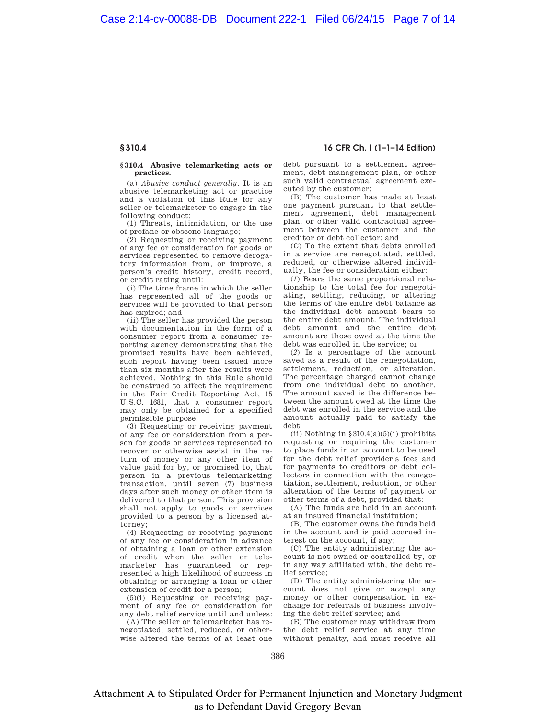# **§ 310.4 16 CFR Ch. I (1–1–14 Edition)**

### **§ 310.4 Abusive telemarketing acts or practices.**

(a) *Abusive conduct generally.* It is an abusive telemarketing act or practice and a violation of this Rule for any seller or telemarketer to engage in the following conduct:

(1) Threats, intimidation, or the use of profane or obscene language;

(2) Requesting or receiving payment of any fee or consideration for goods or services represented to remove derogatory information from, or improve, a person's credit history, credit record, or credit rating until:

(i) The time frame in which the seller has represented all of the goods or services will be provided to that person has expired; and

(ii) The seller has provided the person with documentation in the form of a consumer report from a consumer reporting agency demonstrating that the promised results have been achieved, such report having been issued more than six months after the results were achieved. Nothing in this Rule should be construed to affect the requirement in the Fair Credit Reporting Act, 15 U.S.C. 1681, that a consumer report may only be obtained for a specified permissible purpose;

(3) Requesting or receiving payment of any fee or consideration from a person for goods or services represented to recover or otherwise assist in the return of money or any other item of value paid for by, or promised to, that person in a previous telemarketing transaction, until seven (7) business days after such money or other item is delivered to that person. This provision shall not apply to goods or services provided to a person by a licensed attorney;

(4) Requesting or receiving payment of any fee or consideration in advance of obtaining a loan or other extension of credit when the seller or telemarketer has guaranteed or represented a high likelihood of success in obtaining or arranging a loan or other extension of credit for a person;

(5)(i) Requesting or receiving payment of any fee or consideration for any debt relief service until and unless:

(A) The seller or telemarketer has renegotiated, settled, reduced, or otherwise altered the terms of at least one debt pursuant to a settlement agreement, debt management plan, or other such valid contractual agreement executed by the customer;

(B) The customer has made at least one payment pursuant to that settlement agreement, debt management plan, or other valid contractual agreement between the customer and the creditor or debt collector; and

(C) To the extent that debts enrolled in a service are renegotiated, settled, reduced, or otherwise altered individually, the fee or consideration either:

(*1*) Bears the same proportional relationship to the total fee for renegotiating, settling, reducing, or altering the terms of the entire debt balance as the individual debt amount bears to the entire debt amount. The individual debt amount and the entire debt amount are those owed at the time the debt was enrolled in the service; or

(*2*) Is a percentage of the amount saved as a result of the renegotiation, settlement, reduction, or alteration. The percentage charged cannot change from one individual debt to another. The amount saved is the difference between the amount owed at the time the debt was enrolled in the service and the amount actually paid to satisfy the debt.

(ii) Nothing in  $$310.4(a)(5)(i)$  prohibits requesting or requiring the customer to place funds in an account to be used for the debt relief provider's fees and for payments to creditors or debt collectors in connection with the renegotiation, settlement, reduction, or other alteration of the terms of payment or other terms of a debt, provided that:

(A) The funds are held in an account at an insured financial institution;

(B) The customer owns the funds held in the account and is paid accrued interest on the account, if any;

(C) The entity administering the account is not owned or controlled by, or in any way affiliated with, the debt relief service;

(D) The entity administering the account does not give or accept any money or other compensation in exchange for referrals of business involving the debt relief service; and

(E) The customer may withdraw from the debt relief service at any time without penalty, and must receive all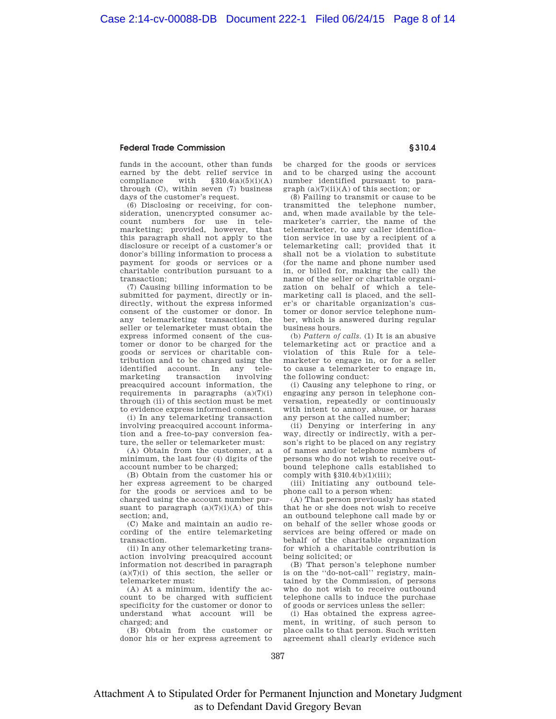funds in the account, other than funds earned by the debt relief service in compliance with  $§310.4(a)(5)(i)(A)$ through (C), within seven (7) business days of the customer's request.

(6) Disclosing or receiving, for consideration, unencrypted consumer account numbers for use in telemarketing; provided, however, that this paragraph shall not apply to the disclosure or receipt of a customer's or donor's billing information to process a payment for goods or services or a charitable contribution pursuant to a transaction;

(7) Causing billing information to be submitted for payment, directly or indirectly, without the express informed consent of the customer or donor. In any telemarketing transaction, the seller or telemarketer must obtain the express informed consent of the customer or donor to be charged for the goods or services or charitable contribution and to be charged using the identified account. In any telemarketing transaction preacquired account information, the requirements in paragraphs (a)(7)(i) through (ii) of this section must be met to evidence express informed consent.

(i) In any telemarketing transaction involving preacquired account information and a free-to-pay conversion feature, the seller or telemarketer must:

(A) Obtain from the customer, at a minimum, the last four (4) digits of the account number to be charged;

(B) Obtain from the customer his or her express agreement to be charged for the goods or services and to be charged using the account number pursuant to paragraph  $(a)(7)(i)(A)$  of this section; and,

(C) Make and maintain an audio recording of the entire telemarketing transaction.

(ii) In any other telemarketing transaction involving preacquired account information not described in paragraph  $(a)(7)(i)$  of this section, the seller or telemarketer must:

(A) At a minimum, identify the account to be charged with sufficient specificity for the customer or donor to understand what account will be charged; and

(B) Obtain from the customer or donor his or her express agreement to be charged for the goods or services and to be charged using the account number identified pursuant to paragraph  $(a)(7)(ii)(A)$  of this section; or

(8) Failing to transmit or cause to be transmitted the telephone number, and, when made available by the telemarketer's carrier, the name of the telemarketer, to any caller identification service in use by a recipient of a telemarketing call; provided that it shall not be a violation to substitute (for the name and phone number used in, or billed for, making the call) the name of the seller or charitable organization on behalf of which a telemarketing call is placed, and the seller's or charitable organization's customer or donor service telephone number, which is answered during regular business hours.

(b) *Pattern of calls.* (1) It is an abusive telemarketing act or practice and a violation of this Rule for a telemarketer to engage in, or for a seller to cause a telemarketer to engage in, the following conduct:

(i) Causing any telephone to ring, or engaging any person in telephone conversation, repeatedly or continuously with intent to annoy, abuse, or harass any person at the called number;

(ii) Denying or interfering in any way, directly or indirectly, with a person's right to be placed on any registry of names and/or telephone numbers of persons who do not wish to receive outbound telephone calls established to comply with  $$310.4(b)(1)(iii)$ ;

(iii) Initiating any outbound telephone call to a person when:

(A) That person previously has stated that he or she does not wish to receive an outbound telephone call made by or on behalf of the seller whose goods or services are being offered or made on behalf of the charitable organization for which a charitable contribution is being solicited; or

(B) That person's telephone number is on the ''do-not-call'' registry, maintained by the Commission, of persons who do not wish to receive outbound telephone calls to induce the purchase of goods or services unless the seller:

(i) Has obtained the express agreement, in writing, of such person to place calls to that person. Such written agreement shall clearly evidence such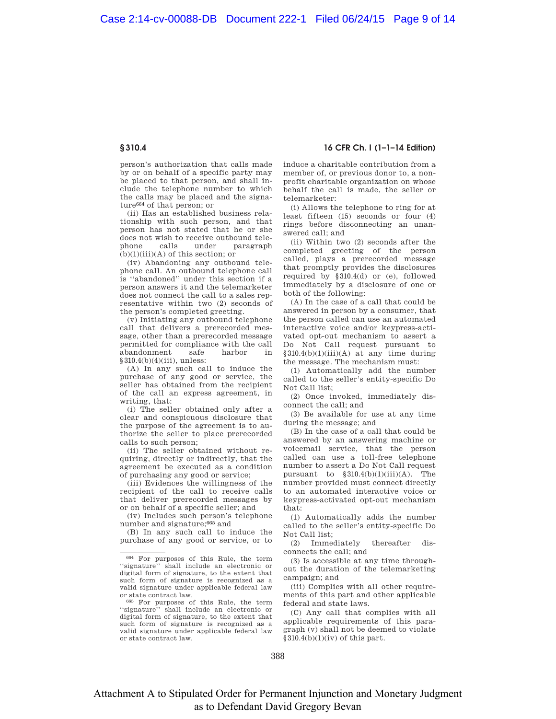person's authorization that calls made by or on behalf of a specific party may be placed to that person, and shall include the telephone number to which the calls may be placed and the signature664 of that person; or

(ii) Has an established business relationship with such person, and that person has not stated that he or she does not wish to receive outbound telephone calls under paragraph  $(b)(1)(iii)(A)$  of this section; or

(iv) Abandoning any outbound telephone call. An outbound telephone call is ''abandoned'' under this section if a person answers it and the telemarketer does not connect the call to a sales representative within two (2) seconds of the person's completed greeting.

(v) Initiating any outbound telephone call that delivers a prerecorded message, other than a prerecorded message permitted for compliance with the call abandonment safe harbor in  $§310.4(b)(4)(iii)$ , unless:

(A) In any such call to induce the purchase of any good or service, the seller has obtained from the recipient of the call an express agreement, in writing, that:

(i) The seller obtained only after a clear and conspicuous disclosure that the purpose of the agreement is to authorize the seller to place prerecorded calls to such person;

(ii) The seller obtained without requiring, directly or indirectly, that the agreement be executed as a condition of purchasing any good or service;

(iii) Evidences the willingness of the recipient of the call to receive calls that deliver prerecorded messages by or on behalf of a specific seller; and

(iv) Includes such person's telephone number and signature;665 and

(B) In any such call to induce the purchase of any good or service, or to

**§ 310.4 16 CFR Ch. I (1–1–14 Edition)** 

induce a charitable contribution from a member of, or previous donor to, a nonprofit charitable organization on whose behalf the call is made, the seller or telemarketer:

(i) Allows the telephone to ring for at least fifteen (15) seconds or four (4) rings before disconnecting an unanswered call; and

(ii) Within two (2) seconds after the completed greeting of the person called, plays a prerecorded message that promptly provides the disclosures required by §310.4(d) or (e), followed immediately by a disclosure of one or both of the following:

(A) In the case of a call that could be answered in person by a consumer, that the person called can use an automated interactive voice and/or keypress-activated opt-out mechanism to assert a Do Not Call request pursuant to §310.4(b)(1)(iii)(A) at any time during the message. The mechanism must:

(1) Automatically add the number called to the seller's entity-specific Do Not Call list;

(2) Once invoked, immediately disconnect the call; and

(3) Be available for use at any time during the message; and

(B) In the case of a call that could be answered by an answering machine or voicemail service, that the person called can use a toll-free telephone number to assert a Do Not Call request pursuant to  $§310.4(b)(1)(iii)(A)$ . The number provided must connect directly to an automated interactive voice or keypress-activated opt-out mechanism that:

(1) Automatically adds the number called to the seller's entity-specific Do Not Call list;

(2) Immediately thereafter disconnects the call; and

(3) Is accessible at any time throughout the duration of the telemarketing campaign; and

(iii) Complies with all other requirements of this part and other applicable federal and state laws.

(C) Any call that complies with all applicable requirements of this paragraph (v) shall not be deemed to violate §310.4(b)(1)(iv) of this part.

 Attachment A to Stipulated Order for Permanent Injunction and Monetary Judgment as to Defendant David Gregory Bevan

<sup>664</sup> For purposes of this Rule, the term ''signature'' shall include an electronic or digital form of signature, to the extent that such form of signature is recognized as a valid signature under applicable federal law or state contract law. 665 For purposes of this Rule, the term

<sup>&#</sup>x27;'signature'' shall include an electronic or digital form of signature, to the extent that such form of signature is recognized as a valid signature under applicable federal law or state contract law.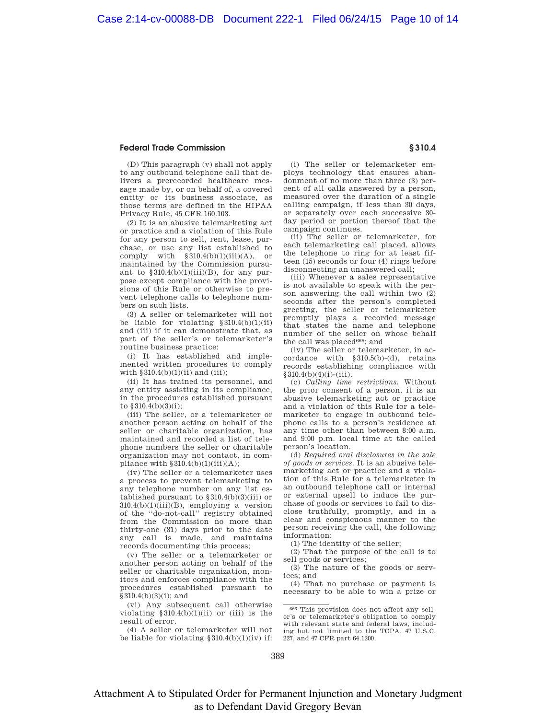(D) This paragraph (v) shall not apply to any outbound telephone call that delivers a prerecorded healthcare message made by, or on behalf of, a covered entity or its business associate, as those terms are defined in the HIPAA Privacy Rule, 45 CFR 160.103.

(2) It is an abusive telemarketing act or practice and a violation of this Rule for any person to sell, rent, lease, purchase, or use any list established to comply with  $$310.4(b)(1)(iii)(A)$ , or maintained by the Commission pursuant to  $$310.4(b)(1)(iii)(B)$ , for any purpose except compliance with the provisions of this Rule or otherwise to prevent telephone calls to telephone numbers on such lists.

(3) A seller or telemarketer will not be liable for violating  $$310.4(b)(1)(ii)$ and (iii) if it can demonstrate that, as part of the seller's or telemarketer's routine business practice:

(i) It has established and implemented written procedures to comply with  $§310.4(b)(1)(ii)$  and (iii);

(ii) It has trained its personnel, and any entity assisting in its compliance, in the procedures established pursuant to  $$310.4(b)(3)(i);$ 

(iii) The seller, or a telemarketer or another person acting on behalf of the seller or charitable organization, has maintained and recorded a list of telephone numbers the seller or charitable organization may not contact, in compliance with  $§310.4(b)(1)(iii)(A);$ 

(iv) The seller or a telemarketer uses a process to prevent telemarketing to any telephone number on any list established pursuant to  $\S 310.4(b)(3)(iii)$  or  $310.4(b)(1)(iii)(B)$ , employing a version of the ''do-not-call'' registry obtained from the Commission no more than thirty-one (31) days prior to the date any call is made, and maintains records documenting this process;

(v) The seller or a telemarketer or another person acting on behalf of the seller or charitable organization, monitors and enforces compliance with the procedures established pursuant to  $§310.4(b)(3)(i);$  and

(vi) Any subsequent call otherwise violating  $$310.4(b)(1)(ii)$  or (iii) is the result of error.

(4) A seller or telemarketer will not be liable for violating  $$310.4(b)(1)(iv)$  if:

(i) The seller or telemarketer employs technology that ensures abandonment of no more than three (3) percent of all calls answered by a person, measured over the duration of a single calling campaign, if less than 30 days, or separately over each successive 30 day period or portion thereof that the campaign continues.

(ii) The seller or telemarketer, for each telemarketing call placed, allows the telephone to ring for at least fifteen (15) seconds or four (4) rings before disconnecting an unanswered call;

(iii) Whenever a sales representative is not available to speak with the person answering the call within two (2) seconds after the person's completed greeting, the seller or telemarketer promptly plays a recorded message that states the name and telephone number of the seller on whose behalf the call was placed666; and

(iv) The seller or telemarketer, in accordance with §310.5(b)-(d), retains records establishing compliance with  $§ 310.4(b)(4)(i)-(iii).$ 

(c) *Calling time restrictions.* Without the prior consent of a person, it is an abusive telemarketing act or practice and a violation of this Rule for a telemarketer to engage in outbound telephone calls to a person's residence at any time other than between 8:00 a.m. and 9:00 p.m. local time at the called person's location.

(d) *Required oral disclosures in the sale of goods or services.* It is an abusive telemarketing act or practice and a violation of this Rule for a telemarketer in an outbound telephone call or internal or external upsell to induce the purchase of goods or services to fail to disclose truthfully, promptly, and in a clear and conspicuous manner to the person receiving the call, the following information:

(1) The identity of the seller;

(2) That the purpose of the call is to sell goods or services;

(3) The nature of the goods or services; and

(4) That no purchase or payment is necessary to be able to win a prize or

<sup>666</sup> This provision does not affect any seller's or telemarketer's obligation to comply with relevant state and federal laws, including but not limited to the TCPA, 47 U.S.C. 227, and 47 CFR part 64.1200.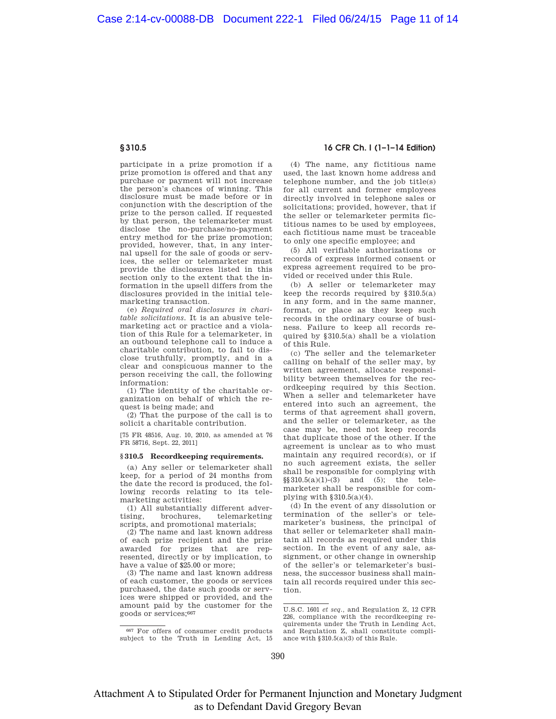participate in a prize promotion if a prize promotion is offered and that any purchase or payment will not increase the person's chances of winning. This disclosure must be made before or in conjunction with the description of the prize to the person called. If requested by that person, the telemarketer must disclose the no-purchase/no-payment entry method for the prize promotion; provided, however, that, in any internal upsell for the sale of goods or services, the seller or telemarketer must provide the disclosures listed in this section only to the extent that the information in the upsell differs from the disclosures provided in the initial telemarketing transaction.

(e) *Required oral disclosures in charitable solicitations.* It is an abusive telemarketing act or practice and a violation of this Rule for a telemarketer, in an outbound telephone call to induce a charitable contribution, to fail to disclose truthfully, promptly, and in a clear and conspicuous manner to the person receiving the call, the following information:

(1) The identity of the charitable organization on behalf of which the request is being made; and

(2) That the purpose of the call is to solicit a charitable contribution.

[75 FR 48516, Aug. 10, 2010, as amended at 76 FR 58716, Sept. 22, 2011]

# **§ 310.5 Recordkeeping requirements.**

(a) Any seller or telemarketer shall keep, for a period of 24 months from the date the record is produced, the following records relating to its telemarketing activities:

(1) All substantially different advertising, brochures, telemarketing scripts, and promotional materials;

(2) The name and last known address of each prize recipient and the prize awarded for prizes that are represented, directly or by implication, to have a value of \$25.00 or more;

(3) The name and last known address of each customer, the goods or services purchased, the date such goods or services were shipped or provided, and the amount paid by the customer for the goods or services;667

667 For offers of consumer credit products subject to the Truth in Lending Act, 15

# **§ 310.5 16 CFR Ch. I (1–1–14 Edition)**

(4) The name, any fictitious name used, the last known home address and telephone number, and the job title(s) for all current and former employees directly involved in telephone sales or solicitations; provided, however, that if the seller or telemarketer permits fictitious names to be used by employees, each fictitious name must be traceable to only one specific employee; and

(5) All verifiable authorizations or records of express informed consent or express agreement required to be provided or received under this Rule.

(b) A seller or telemarketer may keep the records required by  $§310.5(a)$ in any form, and in the same manner, format, or place as they keep such records in the ordinary course of business. Failure to keep all records required by §310.5(a) shall be a violation of this Rule.

(c) The seller and the telemarketer calling on behalf of the seller may, by written agreement, allocate responsibility between themselves for the recordkeeping required by this Section. When a seller and telemarketer have entered into such an agreement, the terms of that agreement shall govern, and the seller or telemarketer, as the case may be, need not keep records that duplicate those of the other. If the agreement is unclear as to who must maintain any required record(s), or if no such agreement exists, the seller shall be responsible for complying with §§310.5(a)(1)-(3) and (5); the telemarketer shall be responsible for complying with  $§310.5(a)(4)$ .

(d) In the event of any dissolution or termination of the seller's or telemarketer's business, the principal of that seller or telemarketer shall maintain all records as required under this section. In the event of any sale, assignment, or other change in ownership of the seller's or telemarketer's business, the successor business shall maintain all records required under this section.

U.S.C. 1601 *et seq.,* and Regulation Z, 12 CFR 226, compliance with the recordkeeping requirements under the Truth in Lending Act, and Regulation Z, shall constitute compliance with  $\S 310.5(a)(3)$  of this Rule.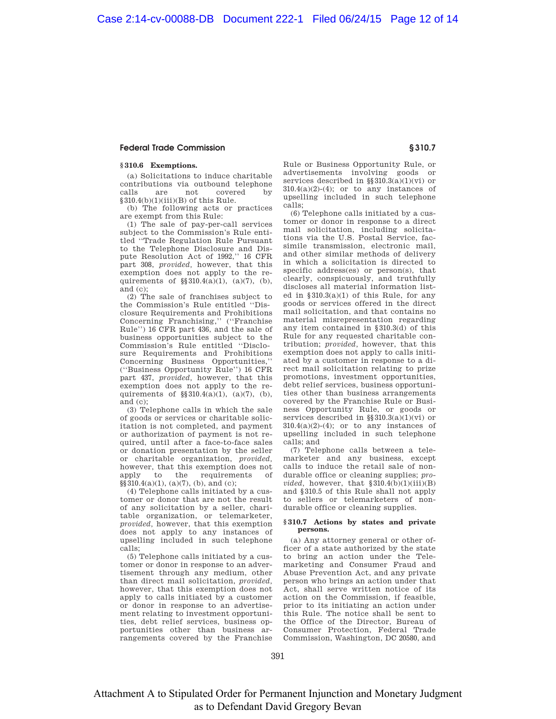# **§ 310.6 Exemptions.**

(a) Solicitations to induce charitable contributions via outbound telephone<br>calls are not covered by calls are not covered by  $§310.4(b)(1)(iii)(B)$  of this Rule.

(b) The following acts or practices are exempt from this Rule:

(1) The sale of pay-per-call services subject to the Commission's Rule entitled ''Trade Regulation Rule Pursuant to the Telephone Disclosure and Dispute Resolution Act of 1992,'' 16 CFR part 308, *provided,* however, that this exemption does not apply to the requirements of  $\S$  $310.4(a)(1)$ ,  $(a)(7)$ ,  $(b)$ , and (c);

(2) The sale of franchises subject to the Commission's Rule entitled ''Disclosure Requirements and Prohibitions Concerning Franchising,'' (''Franchise Rule'') 16 CFR part 436, and the sale of business opportunities subject to the Commission's Rule entitled ''Disclosure Requirements and Prohibitions Concerning Business Opportunities,'' (''Business Opportunity Rule'') 16 CFR part 437, *provided,* however, that this exemption does not apply to the requirements of  $\S 310.4(a)(1)$ ,  $(a)(7)$ ,  $(b)$ , and (c);

(3) Telephone calls in which the sale of goods or services or charitable solicitation is not completed, and payment or authorization of payment is not required, until after a face-to-face sales or donation presentation by the seller or charitable organization, *provided,*  however, that this exemption does not apply to the requirements of §§310.4(a)(1), (a)(7), (b), and (c);

(4) Telephone calls initiated by a customer or donor that are not the result of any solicitation by a seller, charitable organization, or telemarketer, *provided,* however, that this exemption does not apply to any instances of upselling included in such telephone calls;

(5) Telephone calls initiated by a customer or donor in response to an advertisement through any medium, other than direct mail solicitation, *provided,*  however, that this exemption does not apply to calls initiated by a customer or donor in response to an advertisement relating to investment opportunities, debt relief services, business opportunities other than business arrangements covered by the Franchise

Rule or Business Opportunity Rule, or advertisements involving goods or services described in  $\S$ 310.3(a)(1)(vi) or  $310.4(a)(2)-(4)$ ; or to any instances of upselling included in such telephone calls;

(6) Telephone calls initiated by a customer or donor in response to a direct mail solicitation, including solicitations via the U.S. Postal Service, facsimile transmission, electronic mail, and other similar methods of delivery in which a solicitation is directed to specific address(es) or person(s), that clearly, conspicuously, and truthfully discloses all material information listed in §310.3(a)(1) of this Rule, for any goods or services offered in the direct mail solicitation, and that contains no material misrepresentation regarding any item contained in §310.3(d) of this Rule for any requested charitable contribution; *provided,* however, that this exemption does not apply to calls initiated by a customer in response to a direct mail solicitation relating to prize promotions, investment opportunities, debt relief services, business opportunities other than business arrangements covered by the Franchise Rule or Business Opportunity Rule, or goods or services described in §§310.3(a)(1)(vi) or  $310.4(a)(2)-(4)$ ; or to any instances of upselling included in such telephone calls; and

(7) Telephone calls between a telemarketer and any business, except calls to induce the retail sale of nondurable office or cleaning supplies; *pro* $vided$ , however, that  $$310.4(b)(1)(iii)(B)$ and §310.5 of this Rule shall not apply to sellers or telemarketers of nondurable office or cleaning supplies.

### **§ 310.7 Actions by states and private persons.**

(a) Any attorney general or other officer of a state authorized by the state to bring an action under the Telemarketing and Consumer Fraud and Abuse Prevention Act, and any private person who brings an action under that Act, shall serve written notice of its action on the Commission, if feasible, prior to its initiating an action under this Rule. The notice shall be sent to the Office of the Director, Bureau of Consumer Protection, Federal Trade Commission, Washington, DC 20580, and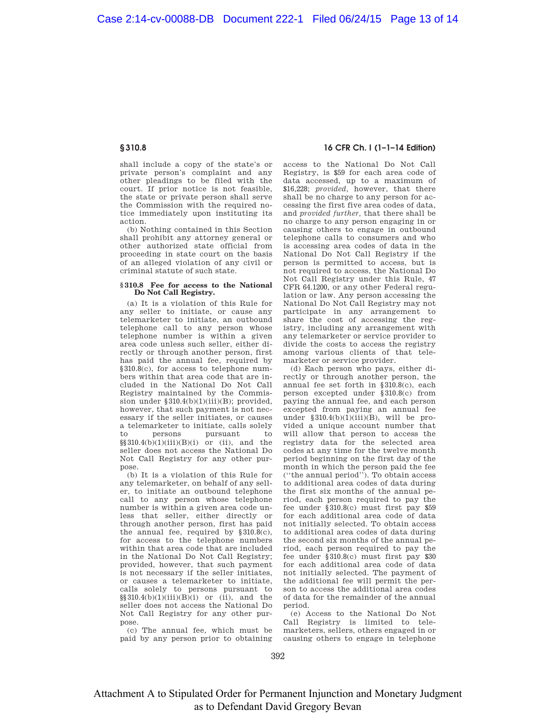shall include a copy of the state's or private person's complaint and any other pleadings to be filed with the court. If prior notice is not feasible, the state or private person shall serve the Commission with the required notice immediately upon instituting its action.

(b) Nothing contained in this Section shall prohibit any attorney general or other authorized state official from proceeding in state court on the basis of an alleged violation of any civil or criminal statute of such state.

### **§ 310.8 Fee for access to the National Do Not Call Registry.**

(a) It is a violation of this Rule for any seller to initiate, or cause any telemarketer to initiate, an outbound telephone call to any person whose telephone number is within a given area code unless such seller, either directly or through another person, first has paid the annual fee, required by §310.8(c), for access to telephone numbers within that area code that are included in the National Do Not Call Registry maintained by the Commission under  $$310.4(b)(1)(iii)(B)$ ; provided. however, that such payment is not necessary if the seller initiates, or causes a telemarketer to initiate, calls solely to persons pursuant to  $\S(310.4(b)(1)(iii)(B)(i)$  or (ii), and the seller does not access the National Do Not Call Registry for any other purpose.

(b) It is a violation of this Rule for any telemarketer, on behalf of any seller, to initiate an outbound telephone call to any person whose telephone number is within a given area code unless that seller, either directly or through another person, first has paid the annual fee, required by  $§310.8(c)$ , for access to the telephone numbers within that area code that are included in the National Do Not Call Registry; provided, however, that such payment is not necessary if the seller initiates, or causes a telemarketer to initiate, calls solely to persons pursuant to  $\frac{1}{8}$ \$310.4(b)(1)(iii)(B)(i) or (ii), and the seller does not access the National Do Not Call Registry for any other purpose.

(c) The annual fee, which must be paid by any person prior to obtaining

# **§ 310.8 16 CFR Ch. I (1–1–14 Edition)**

access to the National Do Not Call Registry, is \$59 for each area code of data accessed, up to a maximum of \$16,228; *provided,* however, that there shall be no charge to any person for accessing the first five area codes of data, and *provided further,* that there shall be no charge to any person engaging in or causing others to engage in outbound telephone calls to consumers and who is accessing area codes of data in the National Do Not Call Registry if the person is permitted to access, but is not required to access, the National Do Not Call Registry under this Rule, 47 CFR 64.1200, or any other Federal regulation or law. Any person accessing the National Do Not Call Registry may not participate in any arrangement to share the cost of accessing the registry, including any arrangement with any telemarketer or service provider to divide the costs to access the registry among various clients of that telemarketer or service provider.

(d) Each person who pays, either directly or through another person, the annual fee set forth in §310.8(c), each person excepted under §310.8(c) from paying the annual fee, and each person excepted from paying an annual fee under  $§310.4(b)(1)(iii)(B)$ , will be provided a unique account number that will allow that person to access the registry data for the selected area codes at any time for the twelve month period beginning on the first day of the month in which the person paid the fee (''the annual period''). To obtain access to additional area codes of data during the first six months of the annual period, each person required to pay the fee under §310.8(c) must first pay \$59 for each additional area code of data not initially selected. To obtain access to additional area codes of data during the second six months of the annual period, each person required to pay the fee under §310.8(c) must first pay \$30 for each additional area code of data not initially selected. The payment of the additional fee will permit the person to access the additional area codes of data for the remainder of the annual period.

(e) Access to the National Do Not Call Registry is limited to telemarketers, sellers, others engaged in or causing others to engage in telephone